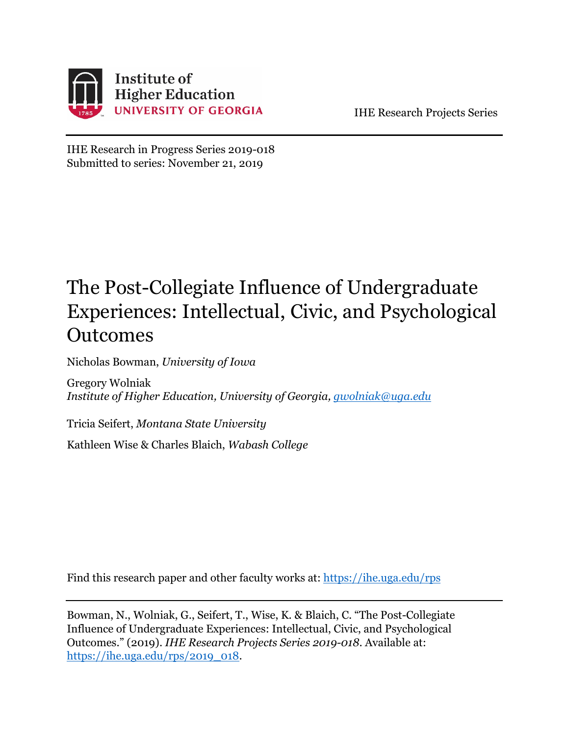

IHE Research Projects Series

IHE Research in Progress Series 2019-018 Submitted to series: November 21, 2019

# The Post-Collegiate Influence of Undergraduate Experiences: Intellectual, Civic, and Psychological **Outcomes**

Nicholas Bowman, *University of Iowa*

Gregory Wolniak *Institute of Higher Education, University of Georgia, [gwolniak@uga.edu](mailto:gwolniak@uga.edu)*

Tricia Seifert, *Montana State University* Kathleen Wise & Charles Blaich, *Wabash College*

Find this research paper and other faculty works at:<https://ihe.uga.edu/rps>

Bowman, N., Wolniak, G., Seifert, T., Wise, K. & Blaich, C. "The Post-Collegiate Influence of Undergraduate Experiences: Intellectual, Civic, and Psychological Outcomes." (2019). *IHE Research Projects Series 2019-018*. Available at: [https://ihe.uga.edu/rps/2019\\_018.](https://ihe.uga.edu/rps/2019_018)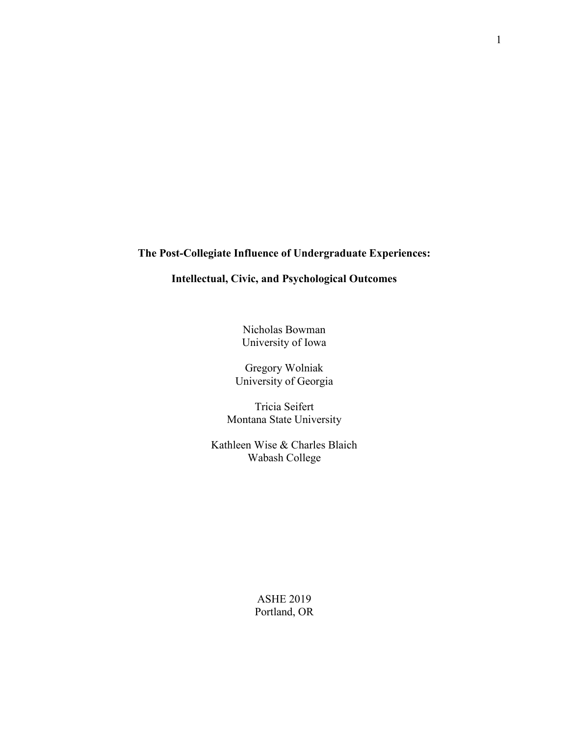# **The Post-Collegiate Influence of Undergraduate Experiences:**

# **Intellectual, Civic, and Psychological Outcomes**

Nicholas Bowman University of Iowa

Gregory Wolniak University of Georgia

Tricia Seifert Montana State University

Kathleen Wise & Charles Blaich Wabash College

> ASHE 2019 Portland, OR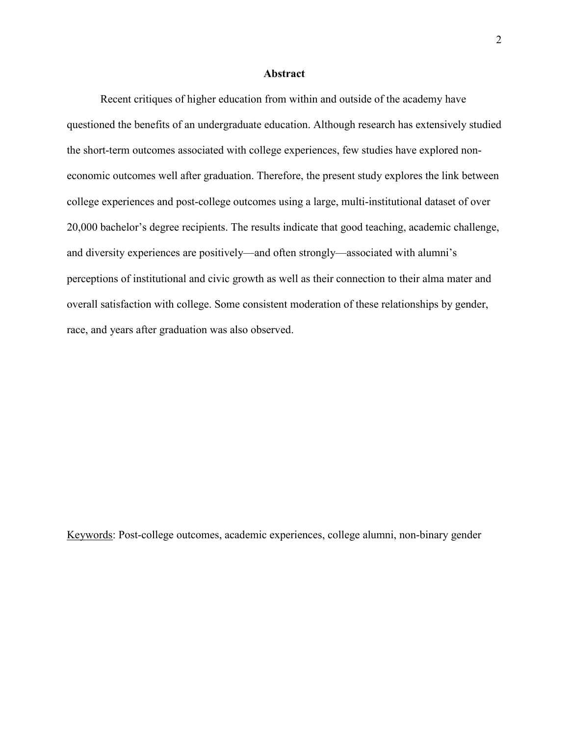#### **Abstract**

Recent critiques of higher education from within and outside of the academy have questioned the benefits of an undergraduate education. Although research has extensively studied the short-term outcomes associated with college experiences, few studies have explored noneconomic outcomes well after graduation. Therefore, the present study explores the link between college experiences and post-college outcomes using a large, multi-institutional dataset of over 20,000 bachelor's degree recipients. The results indicate that good teaching, academic challenge, and diversity experiences are positively—and often strongly—associated with alumni's perceptions of institutional and civic growth as well as their connection to their alma mater and overall satisfaction with college. Some consistent moderation of these relationships by gender, race, and years after graduation was also observed.

Keywords: Post-college outcomes, academic experiences, college alumni, non-binary gender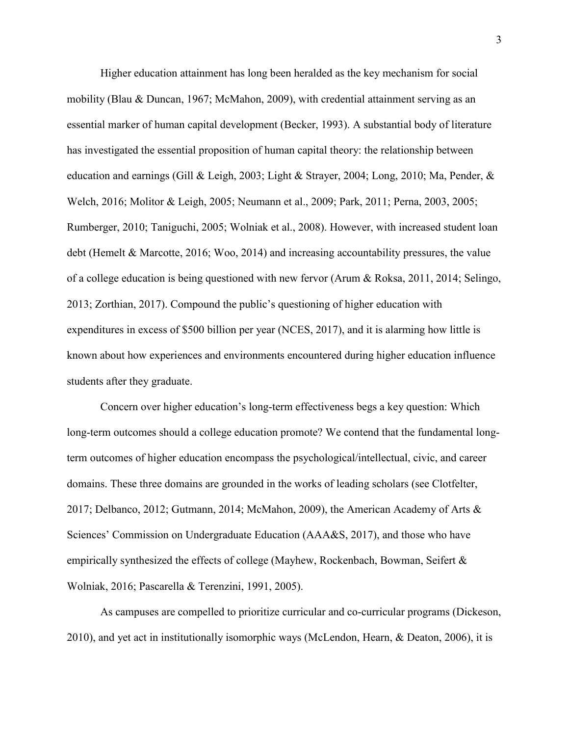Higher education attainment has long been heralded as the key mechanism for social mobility (Blau & Duncan, 1967; McMahon, 2009), with credential attainment serving as an essential marker of human capital development (Becker, 1993). A substantial body of literature has investigated the essential proposition of human capital theory: the relationship between education and earnings (Gill & Leigh, 2003; Light & Strayer, 2004; Long, 2010; Ma, Pender, & Welch, 2016; Molitor & Leigh, 2005; Neumann et al., 2009; Park, 2011; Perna, 2003, 2005; Rumberger, 2010; Taniguchi, 2005; Wolniak et al., 2008). However, with increased student loan debt (Hemelt & Marcotte, 2016; Woo, 2014) and increasing accountability pressures, the value of a college education is being questioned with new fervor (Arum & Roksa, 2011, 2014; Selingo, 2013; Zorthian, 2017). Compound the public's questioning of higher education with expenditures in excess of \$500 billion per year (NCES, 2017), and it is alarming how little is known about how experiences and environments encountered during higher education influence students after they graduate.

Concern over higher education's long-term effectiveness begs a key question: Which long-term outcomes should a college education promote? We contend that the fundamental longterm outcomes of higher education encompass the psychological/intellectual, civic, and career domains. These three domains are grounded in the works of leading scholars (see Clotfelter, 2017; Delbanco, 2012; Gutmann, 2014; McMahon, 2009), the American Academy of Arts & Sciences' Commission on Undergraduate Education (AAA&S, 2017), and those who have empirically synthesized the effects of college (Mayhew, Rockenbach, Bowman, Seifert & Wolniak, 2016; Pascarella & Terenzini, 1991, 2005).

As campuses are compelled to prioritize curricular and co-curricular programs (Dickeson, 2010), and yet act in institutionally isomorphic ways (McLendon, Hearn, & Deaton, 2006), it is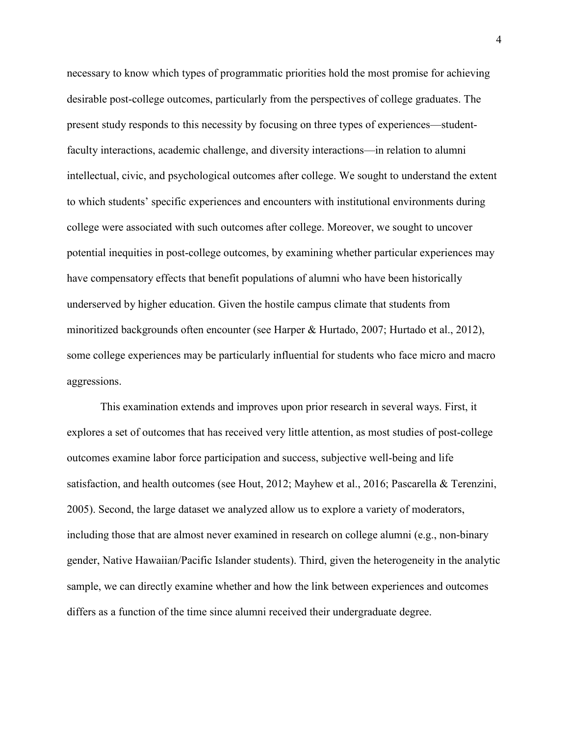necessary to know which types of programmatic priorities hold the most promise for achieving desirable post-college outcomes, particularly from the perspectives of college graduates. The present study responds to this necessity by focusing on three types of experiences—studentfaculty interactions, academic challenge, and diversity interactions—in relation to alumni intellectual, civic, and psychological outcomes after college. We sought to understand the extent to which students' specific experiences and encounters with institutional environments during college were associated with such outcomes after college. Moreover, we sought to uncover potential inequities in post-college outcomes, by examining whether particular experiences may have compensatory effects that benefit populations of alumni who have been historically underserved by higher education. Given the hostile campus climate that students from minoritized backgrounds often encounter (see Harper & Hurtado, 2007; Hurtado et al., 2012), some college experiences may be particularly influential for students who face micro and macro aggressions.

This examination extends and improves upon prior research in several ways. First, it explores a set of outcomes that has received very little attention, as most studies of post-college outcomes examine labor force participation and success, subjective well-being and life satisfaction, and health outcomes (see Hout, 2012; Mayhew et al., 2016; Pascarella & Terenzini, 2005). Second, the large dataset we analyzed allow us to explore a variety of moderators, including those that are almost never examined in research on college alumni (e.g., non-binary gender, Native Hawaiian/Pacific Islander students). Third, given the heterogeneity in the analytic sample, we can directly examine whether and how the link between experiences and outcomes differs as a function of the time since alumni received their undergraduate degree.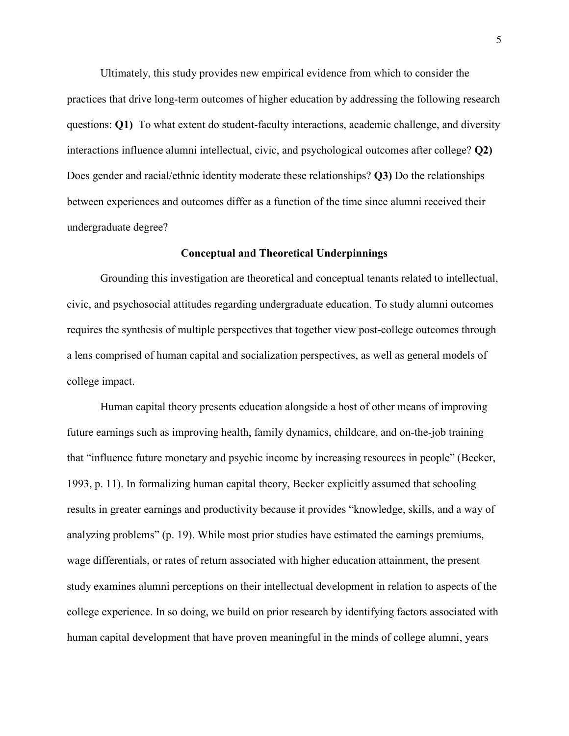Ultimately, this study provides new empirical evidence from which to consider the practices that drive long-term outcomes of higher education by addressing the following research questions: **Q1)** To what extent do student-faculty interactions, academic challenge, and diversity interactions influence alumni intellectual, civic, and psychological outcomes after college? **Q2)** Does gender and racial/ethnic identity moderate these relationships? **Q3)** Do the relationships between experiences and outcomes differ as a function of the time since alumni received their undergraduate degree?

#### **Conceptual and Theoretical Underpinnings**

Grounding this investigation are theoretical and conceptual tenants related to intellectual, civic, and psychosocial attitudes regarding undergraduate education. To study alumni outcomes requires the synthesis of multiple perspectives that together view post-college outcomes through a lens comprised of human capital and socialization perspectives, as well as general models of college impact.

Human capital theory presents education alongside a host of other means of improving future earnings such as improving health, family dynamics, childcare, and on-the-job training that "influence future monetary and psychic income by increasing resources in people" (Becker, 1993, p. 11). In formalizing human capital theory, Becker explicitly assumed that schooling results in greater earnings and productivity because it provides "knowledge, skills, and a way of analyzing problems" (p. 19). While most prior studies have estimated the earnings premiums, wage differentials, or rates of return associated with higher education attainment, the present study examines alumni perceptions on their intellectual development in relation to aspects of the college experience. In so doing, we build on prior research by identifying factors associated with human capital development that have proven meaningful in the minds of college alumni, years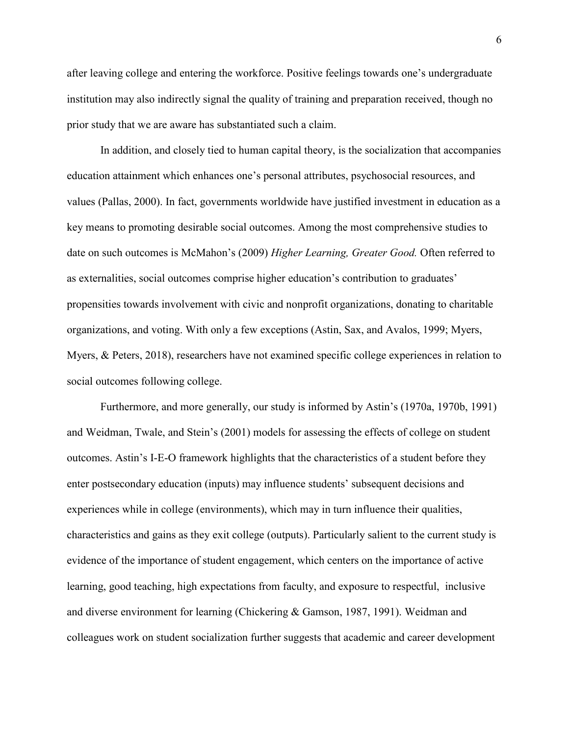after leaving college and entering the workforce. Positive feelings towards one's undergraduate institution may also indirectly signal the quality of training and preparation received, though no prior study that we are aware has substantiated such a claim.

In addition, and closely tied to human capital theory, is the socialization that accompanies education attainment which enhances one's personal attributes, psychosocial resources, and values (Pallas, 2000). In fact, governments worldwide have justified investment in education as a key means to promoting desirable social outcomes. Among the most comprehensive studies to date on such outcomes is McMahon's (2009) *Higher Learning, Greater Good.* Often referred to as externalities, social outcomes comprise higher education's contribution to graduates' propensities towards involvement with civic and nonprofit organizations, donating to charitable organizations, and voting. With only a few exceptions (Astin, Sax, and Avalos, 1999; Myers, Myers, & Peters, 2018), researchers have not examined specific college experiences in relation to social outcomes following college.

Furthermore, and more generally, our study is informed by Astin's (1970a, 1970b, 1991) and Weidman, Twale, and Stein's (2001) models for assessing the effects of college on student outcomes. Astin's I-E-O framework highlights that the characteristics of a student before they enter postsecondary education (inputs) may influence students' subsequent decisions and experiences while in college (environments), which may in turn influence their qualities, characteristics and gains as they exit college (outputs). Particularly salient to the current study is evidence of the importance of student engagement, which centers on the importance of active learning, good teaching, high expectations from faculty, and exposure to respectful, inclusive and diverse environment for learning (Chickering & Gamson, 1987, 1991). Weidman and colleagues work on student socialization further suggests that academic and career development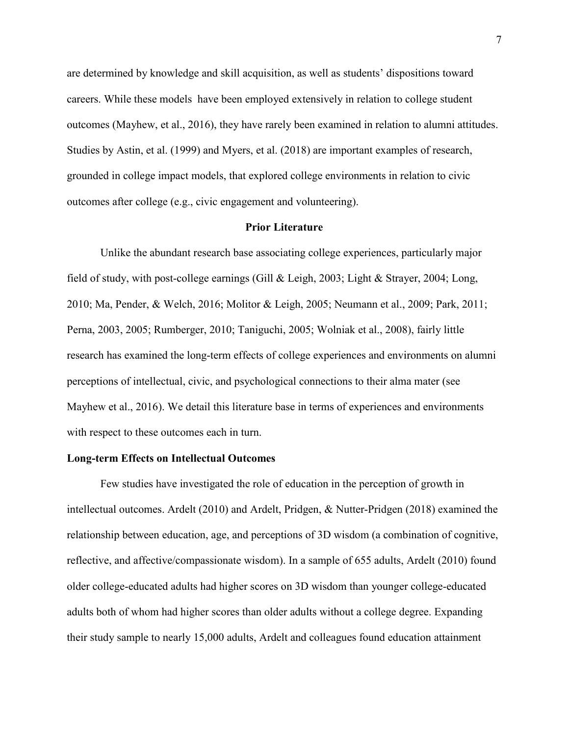are determined by knowledge and skill acquisition, as well as students' dispositions toward careers. While these models have been employed extensively in relation to college student outcomes (Mayhew, et al., 2016), they have rarely been examined in relation to alumni attitudes. Studies by Astin, et al. (1999) and Myers, et al. (2018) are important examples of research, grounded in college impact models, that explored college environments in relation to civic outcomes after college (e.g., civic engagement and volunteering).

#### **Prior Literature**

Unlike the abundant research base associating college experiences, particularly major field of study, with post-college earnings (Gill & Leigh, 2003; Light & Strayer, 2004; Long, 2010; Ma, Pender, & Welch, 2016; Molitor & Leigh, 2005; Neumann et al., 2009; Park, 2011; Perna, 2003, 2005; Rumberger, 2010; Taniguchi, 2005; Wolniak et al., 2008), fairly little research has examined the long-term effects of college experiences and environments on alumni perceptions of intellectual, civic, and psychological connections to their alma mater (see Mayhew et al., 2016). We detail this literature base in terms of experiences and environments with respect to these outcomes each in turn.

# **Long-term Effects on Intellectual Outcomes**

Few studies have investigated the role of education in the perception of growth in intellectual outcomes. Ardelt (2010) and Ardelt, Pridgen, & Nutter-Pridgen (2018) examined the relationship between education, age, and perceptions of 3D wisdom (a combination of cognitive, reflective, and affective/compassionate wisdom). In a sample of 655 adults, Ardelt (2010) found older college-educated adults had higher scores on 3D wisdom than younger college-educated adults both of whom had higher scores than older adults without a college degree. Expanding their study sample to nearly 15,000 adults, Ardelt and colleagues found education attainment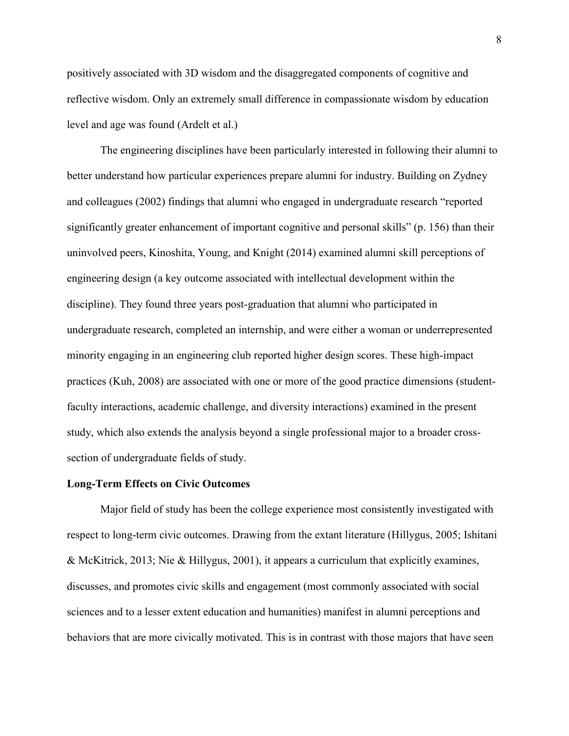positively associated with 3D wisdom and the disaggregated components of cognitive and reflective wisdom. Only an extremely small difference in compassionate wisdom by education level and age was found (Ardelt et al.)

The engineering disciplines have been particularly interested in following their alumni to better understand how particular experiences prepare alumni for industry. Building on Zydney and colleagues (2002) findings that alumni who engaged in undergraduate research "reported significantly greater enhancement of important cognitive and personal skills" (p. 156) than their uninvolved peers, Kinoshita, Young, and Knight (2014) examined alumni skill perceptions of engineering design (a key outcome associated with intellectual development within the discipline). They found three years post-graduation that alumni who participated in undergraduate research, completed an internship, and were either a woman or underrepresented minority engaging in an engineering club reported higher design scores. These high-impact practices (Kuh, 2008) are associated with one or more of the good practice dimensions (studentfaculty interactions, academic challenge, and diversity interactions) examined in the present study, which also extends the analysis beyond a single professional major to a broader crosssection of undergraduate fields of study.

## **Long-Term Effects on Civic Outcomes**

Major field of study has been the college experience most consistently investigated with respect to long-term civic outcomes. Drawing from the extant literature (Hillygus, 2005; Ishitani & McKitrick, 2013; Nie & Hillygus, 2001), it appears a curriculum that explicitly examines, discusses, and promotes civic skills and engagement (most commonly associated with social sciences and to a lesser extent education and humanities) manifest in alumni perceptions and behaviors that are more civically motivated. This is in contrast with those majors that have seen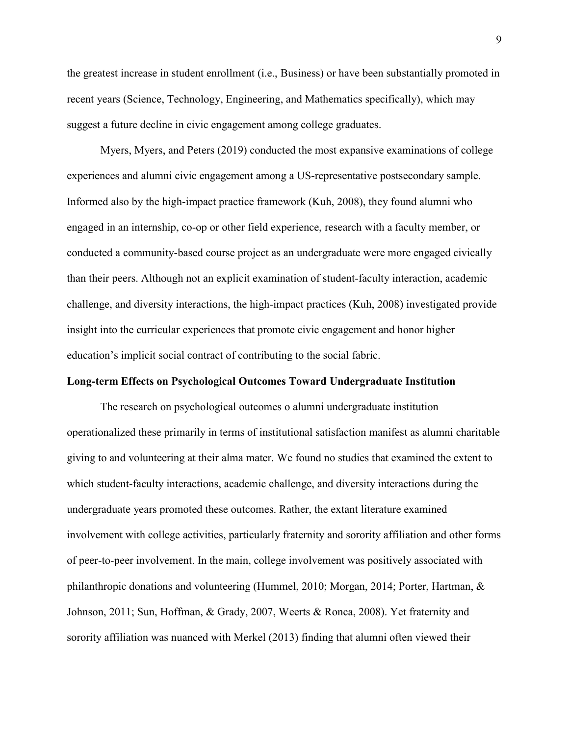the greatest increase in student enrollment (i.e., Business) or have been substantially promoted in recent years (Science, Technology, Engineering, and Mathematics specifically), which may suggest a future decline in civic engagement among college graduates.

Myers, Myers, and Peters (2019) conducted the most expansive examinations of college experiences and alumni civic engagement among a US-representative postsecondary sample. Informed also by the high-impact practice framework (Kuh, 2008), they found alumni who engaged in an internship, co-op or other field experience, research with a faculty member, or conducted a community-based course project as an undergraduate were more engaged civically than their peers. Although not an explicit examination of student-faculty interaction, academic challenge, and diversity interactions, the high-impact practices (Kuh, 2008) investigated provide insight into the curricular experiences that promote civic engagement and honor higher education's implicit social contract of contributing to the social fabric.

## **Long-term Effects on Psychological Outcomes Toward Undergraduate Institution**

The research on psychological outcomes o alumni undergraduate institution operationalized these primarily in terms of institutional satisfaction manifest as alumni charitable giving to and volunteering at their alma mater. We found no studies that examined the extent to which student-faculty interactions, academic challenge, and diversity interactions during the undergraduate years promoted these outcomes. Rather, the extant literature examined involvement with college activities, particularly fraternity and sorority affiliation and other forms of peer-to-peer involvement. In the main, college involvement was positively associated with philanthropic donations and volunteering (Hummel, 2010; Morgan, 2014; Porter, Hartman, & Johnson, 2011; Sun, Hoffman, & Grady, 2007, Weerts & Ronca, 2008). Yet fraternity and sorority affiliation was nuanced with Merkel (2013) finding that alumni often viewed their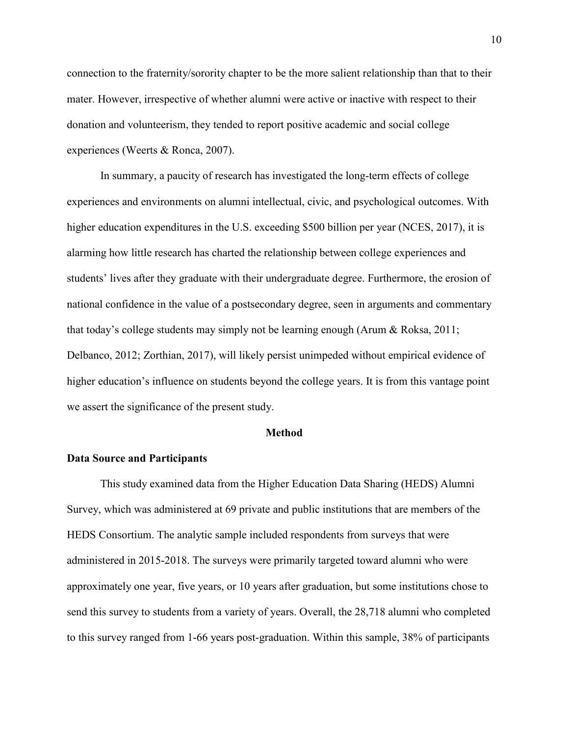connection to the fraternity/sorority chapter to be the more salient relationship than that to their mater. However, irrespective of whether alumni were active or inactive with respect to their donation and volunteerism, they tended to report positive academic and social college experiences (Weerts & Ronca, 2007).

In summary, a paucity of research has investigated the long-term effects of college experiences and environments on alumni intellectual, civic, and psychological outcomes. With higher education expenditures in the U.S. exceeding \$500 billion per year (NCES, 2017), it is alarming how little research has charted the relationship between college experiences and students' lives after they graduate with their undergraduate degree. Furthermore, the erosion of national confidence in the value of a postsecondary degree, seen in arguments and commentary that today's college students may simply not be learning enough (Arum & Roksa, 2011; Delbanco, 2012; Zorthian, 2017), will likely persist unimpeded without empirical evidence of higher education's influence on students beyond the college years. It is from this vantage point we assert the significance of the present study.

#### **Method**

# **Data Source and Participants**

This study examined data from the Higher Education Data Sharing (HEDS) Alumni Survey, which was administered at 69 private and public institutions that are members of the HEDS Consortium. The analytic sample included respondents from surveys that were administered in 2015-2018. The surveys were primarily targeted toward alumni who were approximately one year, five years, or 10 years after graduation, but some institutions chose to send this survey to students from a variety of years. Overall, the 28,718 alumni who completed to this survey ranged from 1-66 years post-graduation. Within this sample, 38% of participants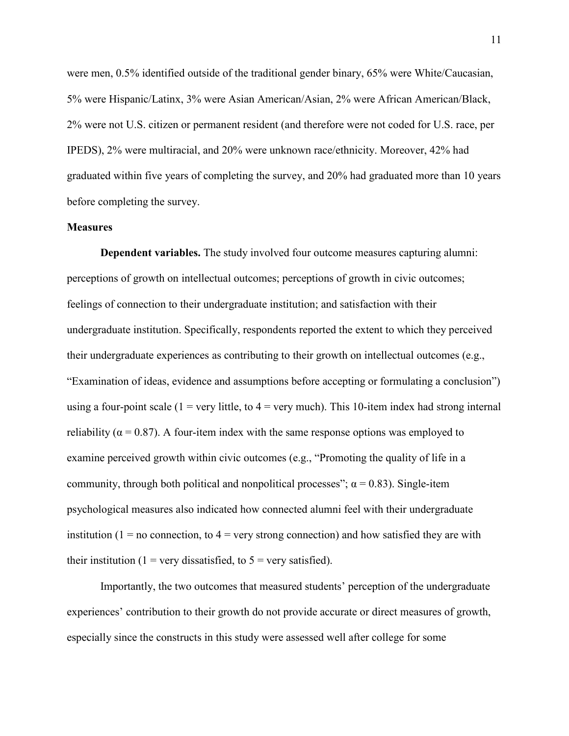were men, 0.5% identified outside of the traditional gender binary, 65% were White/Caucasian, 5% were Hispanic/Latinx, 3% were Asian American/Asian, 2% were African American/Black, 2% were not U.S. citizen or permanent resident (and therefore were not coded for U.S. race, per IPEDS), 2% were multiracial, and 20% were unknown race/ethnicity. Moreover, 42% had graduated within five years of completing the survey, and 20% had graduated more than 10 years before completing the survey.

# **Measures**

**Dependent variables.** The study involved four outcome measures capturing alumni: perceptions of growth on intellectual outcomes; perceptions of growth in civic outcomes; feelings of connection to their undergraduate institution; and satisfaction with their undergraduate institution. Specifically, respondents reported the extent to which they perceived their undergraduate experiences as contributing to their growth on intellectual outcomes (e.g., "Examination of ideas, evidence and assumptions before accepting or formulating a conclusion") using a four-point scale  $(1 = \text{very little, to } 4 = \text{very much})$ . This 10-item index had strong internal reliability ( $\alpha$  = 0.87). A four-item index with the same response options was employed to examine perceived growth within civic outcomes (e.g., "Promoting the quality of life in a community, through both political and nonpolitical processes";  $\alpha = 0.83$ ). Single-item psychological measures also indicated how connected alumni feel with their undergraduate institution ( $1 =$  no connection, to  $4 =$  very strong connection) and how satisfied they are with their institution (1 = very dissatisfied, to  $5$  = very satisfied).

Importantly, the two outcomes that measured students' perception of the undergraduate experiences' contribution to their growth do not provide accurate or direct measures of growth, especially since the constructs in this study were assessed well after college for some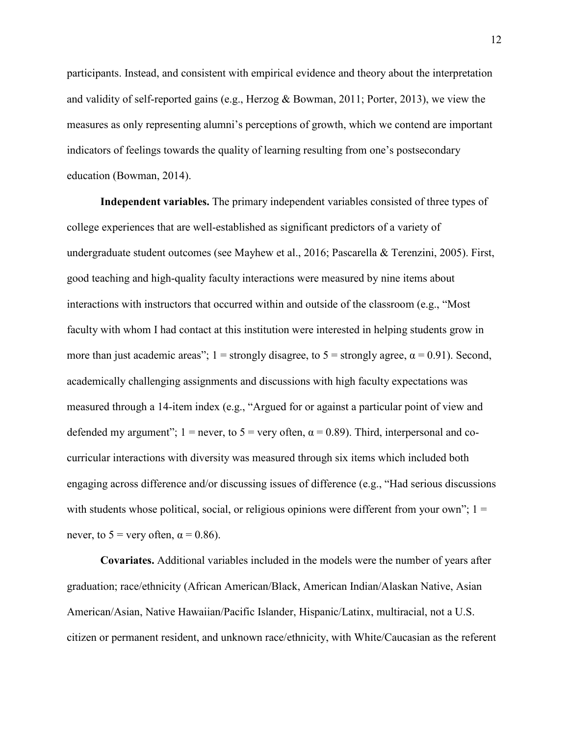participants. Instead, and consistent with empirical evidence and theory about the interpretation and validity of self-reported gains (e.g., Herzog & Bowman, 2011; Porter, 2013), we view the measures as only representing alumni's perceptions of growth, which we contend are important indicators of feelings towards the quality of learning resulting from one's postsecondary education (Bowman, 2014).

**Independent variables.** The primary independent variables consisted of three types of college experiences that are well-established as significant predictors of a variety of undergraduate student outcomes (see Mayhew et al., 2016; Pascarella & Terenzini, 2005). First, good teaching and high-quality faculty interactions were measured by nine items about interactions with instructors that occurred within and outside of the classroom (e.g., "Most faculty with whom I had contact at this institution were interested in helping students grow in more than just academic areas";  $1 =$  strongly disagree, to  $5 =$  strongly agree,  $\alpha = 0.91$ ). Second, academically challenging assignments and discussions with high faculty expectations was measured through a 14-item index (e.g., "Argued for or against a particular point of view and defended my argument"; 1 = never, to 5 = very often,  $\alpha$  = 0.89). Third, interpersonal and cocurricular interactions with diversity was measured through six items which included both engaging across difference and/or discussing issues of difference (e.g., "Had serious discussions with students whose political, social, or religious opinions were different from your own";  $1 =$ never, to  $5$  = very often,  $\alpha$  = 0.86).

**Covariates.** Additional variables included in the models were the number of years after graduation; race/ethnicity (African American/Black, American Indian/Alaskan Native, Asian American/Asian, Native Hawaiian/Pacific Islander, Hispanic/Latinx, multiracial, not a U.S. citizen or permanent resident, and unknown race/ethnicity, with White/Caucasian as the referent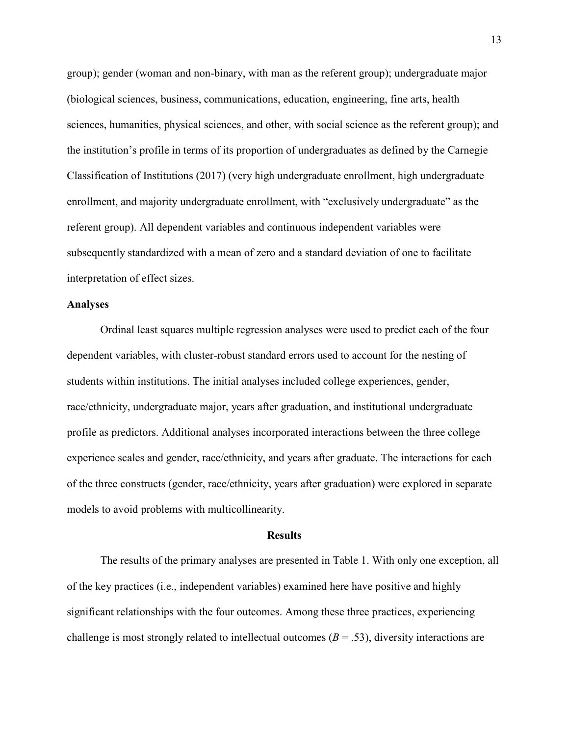group); gender (woman and non-binary, with man as the referent group); undergraduate major (biological sciences, business, communications, education, engineering, fine arts, health sciences, humanities, physical sciences, and other, with social science as the referent group); and the institution's profile in terms of its proportion of undergraduates as defined by the Carnegie Classification of Institutions (2017) (very high undergraduate enrollment, high undergraduate enrollment, and majority undergraduate enrollment, with "exclusively undergraduate" as the referent group). All dependent variables and continuous independent variables were subsequently standardized with a mean of zero and a standard deviation of one to facilitate interpretation of effect sizes.

# **Analyses**

Ordinal least squares multiple regression analyses were used to predict each of the four dependent variables, with cluster-robust standard errors used to account for the nesting of students within institutions. The initial analyses included college experiences, gender, race/ethnicity, undergraduate major, years after graduation, and institutional undergraduate profile as predictors. Additional analyses incorporated interactions between the three college experience scales and gender, race/ethnicity, and years after graduate. The interactions for each of the three constructs (gender, race/ethnicity, years after graduation) were explored in separate models to avoid problems with multicollinearity.

#### **Results**

The results of the primary analyses are presented in Table 1. With only one exception, all of the key practices (i.e., independent variables) examined here have positive and highly significant relationships with the four outcomes. Among these three practices, experiencing challenge is most strongly related to intellectual outcomes  $(B = .53)$ , diversity interactions are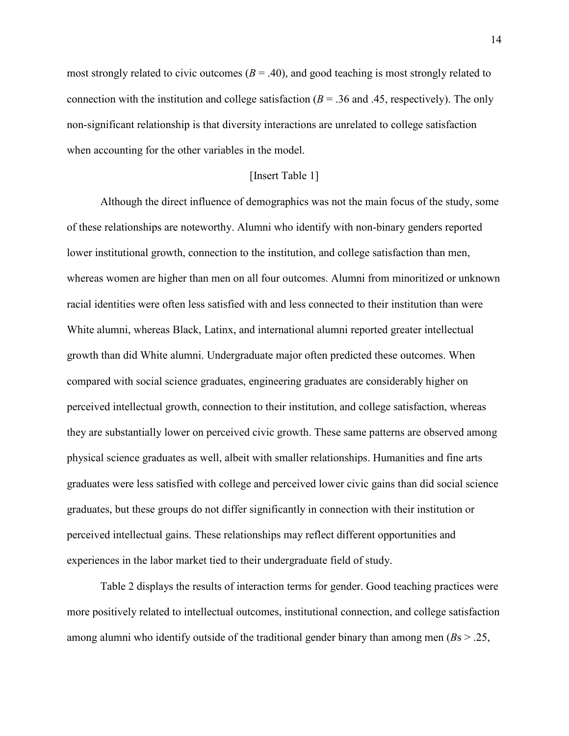most strongly related to civic outcomes  $(B = .40)$ , and good teaching is most strongly related to connection with the institution and college satisfaction ( $B = .36$  and .45, respectively). The only non-significant relationship is that diversity interactions are unrelated to college satisfaction when accounting for the other variables in the model.

#### [Insert Table 1]

Although the direct influence of demographics was not the main focus of the study, some of these relationships are noteworthy. Alumni who identify with non-binary genders reported lower institutional growth, connection to the institution, and college satisfaction than men, whereas women are higher than men on all four outcomes. Alumni from minoritized or unknown racial identities were often less satisfied with and less connected to their institution than were White alumni, whereas Black, Latinx, and international alumni reported greater intellectual growth than did White alumni. Undergraduate major often predicted these outcomes. When compared with social science graduates, engineering graduates are considerably higher on perceived intellectual growth, connection to their institution, and college satisfaction, whereas they are substantially lower on perceived civic growth. These same patterns are observed among physical science graduates as well, albeit with smaller relationships. Humanities and fine arts graduates were less satisfied with college and perceived lower civic gains than did social science graduates, but these groups do not differ significantly in connection with their institution or perceived intellectual gains. These relationships may reflect different opportunities and experiences in the labor market tied to their undergraduate field of study.

Table 2 displays the results of interaction terms for gender. Good teaching practices were more positively related to intellectual outcomes, institutional connection, and college satisfaction among alumni who identify outside of the traditional gender binary than among men (*B*s > .25,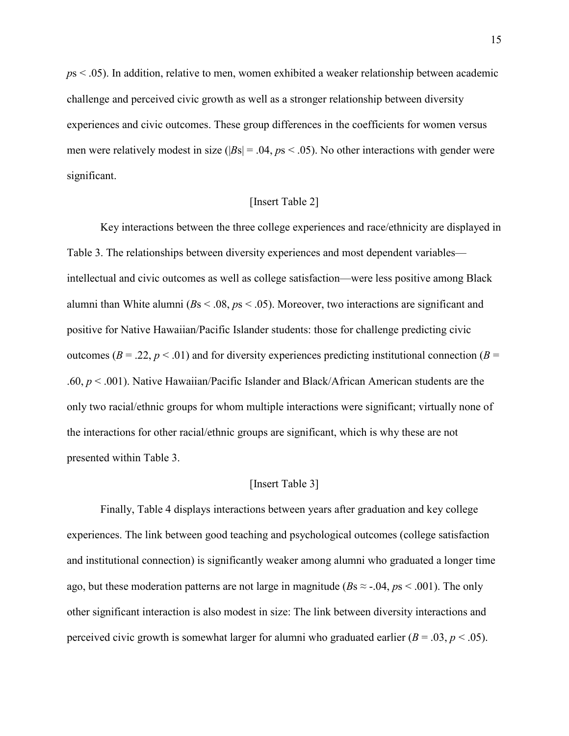*p*s < .05). In addition, relative to men, women exhibited a weaker relationship between academic challenge and perceived civic growth as well as a stronger relationship between diversity experiences and civic outcomes. These group differences in the coefficients for women versus men were relatively modest in size ( $|Bs| = 0.04$ ,  $ps < 0.05$ ). No other interactions with gender were significant.

# [Insert Table 2]

Key interactions between the three college experiences and race/ethnicity are displayed in Table 3. The relationships between diversity experiences and most dependent variables intellectual and civic outcomes as well as college satisfaction—were less positive among Black alumni than White alumni (*B*s < .08, *p*s < .05). Moreover, two interactions are significant and positive for Native Hawaiian/Pacific Islander students: those for challenge predicting civic outcomes ( $B = .22$ ,  $p < .01$ ) and for diversity experiences predicting institutional connection ( $B =$ .60, *p* < .001). Native Hawaiian/Pacific Islander and Black/African American students are the only two racial/ethnic groups for whom multiple interactions were significant; virtually none of the interactions for other racial/ethnic groups are significant, which is why these are not presented within Table 3.

## [Insert Table 3]

Finally, Table 4 displays interactions between years after graduation and key college experiences. The link between good teaching and psychological outcomes (college satisfaction and institutional connection) is significantly weaker among alumni who graduated a longer time ago, but these moderation patterns are not large in magnitude  $(Bs \approx -0.04, ps \le 0.001)$ . The only other significant interaction is also modest in size: The link between diversity interactions and perceived civic growth is somewhat larger for alumni who graduated earlier  $(B = .03, p < .05)$ .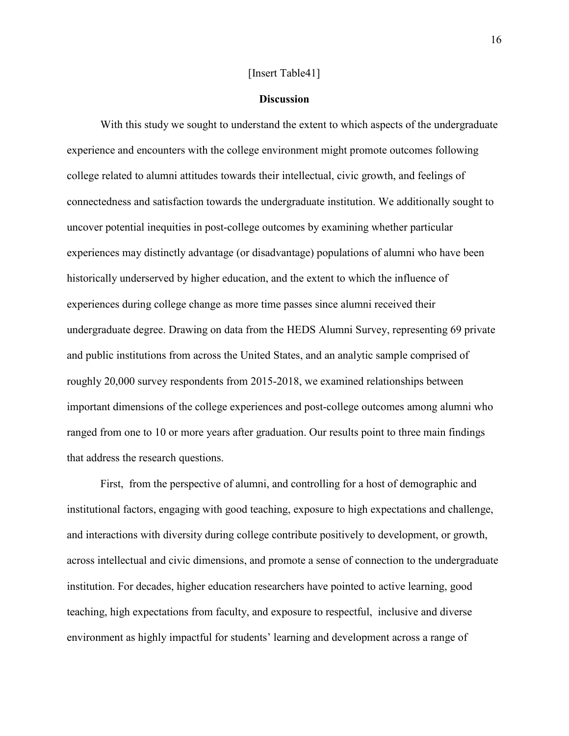## [Insert Table41]

#### **Discussion**

With this study we sought to understand the extent to which aspects of the undergraduate experience and encounters with the college environment might promote outcomes following college related to alumni attitudes towards their intellectual, civic growth, and feelings of connectedness and satisfaction towards the undergraduate institution. We additionally sought to uncover potential inequities in post-college outcomes by examining whether particular experiences may distinctly advantage (or disadvantage) populations of alumni who have been historically underserved by higher education, and the extent to which the influence of experiences during college change as more time passes since alumni received their undergraduate degree. Drawing on data from the HEDS Alumni Survey, representing 69 private and public institutions from across the United States, and an analytic sample comprised of roughly 20,000 survey respondents from 2015-2018, we examined relationships between important dimensions of the college experiences and post-college outcomes among alumni who ranged from one to 10 or more years after graduation. Our results point to three main findings that address the research questions.

First, from the perspective of alumni, and controlling for a host of demographic and institutional factors, engaging with good teaching, exposure to high expectations and challenge, and interactions with diversity during college contribute positively to development, or growth, across intellectual and civic dimensions, and promote a sense of connection to the undergraduate institution. For decades, higher education researchers have pointed to active learning, good teaching, high expectations from faculty, and exposure to respectful, inclusive and diverse environment as highly impactful for students' learning and development across a range of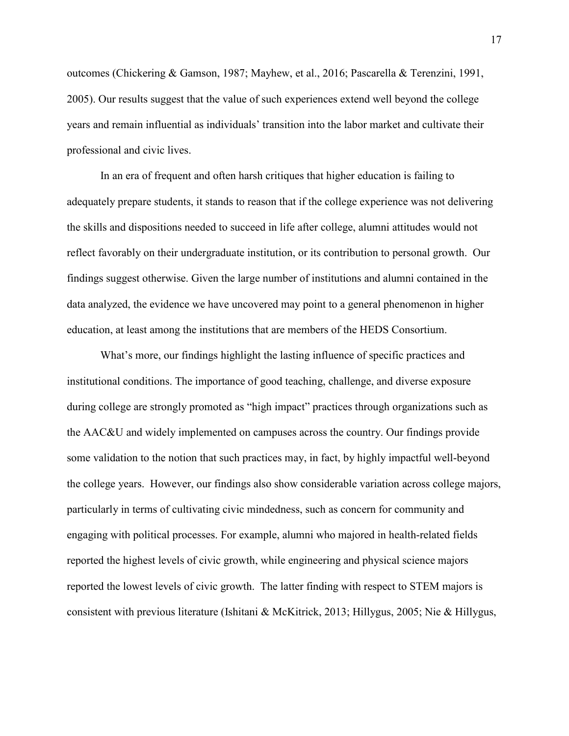outcomes (Chickering & Gamson, 1987; Mayhew, et al., 2016; Pascarella & Terenzini, 1991, 2005). Our results suggest that the value of such experiences extend well beyond the college years and remain influential as individuals' transition into the labor market and cultivate their professional and civic lives.

In an era of frequent and often harsh critiques that higher education is failing to adequately prepare students, it stands to reason that if the college experience was not delivering the skills and dispositions needed to succeed in life after college, alumni attitudes would not reflect favorably on their undergraduate institution, or its contribution to personal growth. Our findings suggest otherwise. Given the large number of institutions and alumni contained in the data analyzed, the evidence we have uncovered may point to a general phenomenon in higher education, at least among the institutions that are members of the HEDS Consortium.

What's more, our findings highlight the lasting influence of specific practices and institutional conditions. The importance of good teaching, challenge, and diverse exposure during college are strongly promoted as "high impact" practices through organizations such as the AAC&U and widely implemented on campuses across the country. Our findings provide some validation to the notion that such practices may, in fact, by highly impactful well-beyond the college years. However, our findings also show considerable variation across college majors, particularly in terms of cultivating civic mindedness, such as concern for community and engaging with political processes. For example, alumni who majored in health-related fields reported the highest levels of civic growth, while engineering and physical science majors reported the lowest levels of civic growth. The latter finding with respect to STEM majors is consistent with previous literature (Ishitani & McKitrick, 2013; Hillygus, 2005; Nie & Hillygus,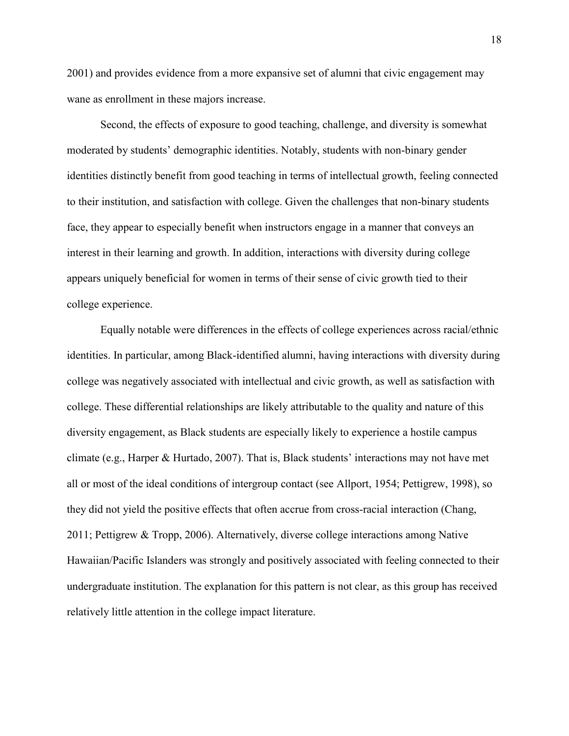2001) and provides evidence from a more expansive set of alumni that civic engagement may wane as enrollment in these majors increase.

Second, the effects of exposure to good teaching, challenge, and diversity is somewhat moderated by students' demographic identities. Notably, students with non-binary gender identities distinctly benefit from good teaching in terms of intellectual growth, feeling connected to their institution, and satisfaction with college. Given the challenges that non-binary students face, they appear to especially benefit when instructors engage in a manner that conveys an interest in their learning and growth. In addition, interactions with diversity during college appears uniquely beneficial for women in terms of their sense of civic growth tied to their college experience.

Equally notable were differences in the effects of college experiences across racial/ethnic identities. In particular, among Black-identified alumni, having interactions with diversity during college was negatively associated with intellectual and civic growth, as well as satisfaction with college. These differential relationships are likely attributable to the quality and nature of this diversity engagement, as Black students are especially likely to experience a hostile campus climate (e.g., Harper & Hurtado, 2007). That is, Black students' interactions may not have met all or most of the ideal conditions of intergroup contact (see Allport, 1954; Pettigrew, 1998), so they did not yield the positive effects that often accrue from cross-racial interaction (Chang, 2011; Pettigrew & Tropp, 2006). Alternatively, diverse college interactions among Native Hawaiian/Pacific Islanders was strongly and positively associated with feeling connected to their undergraduate institution. The explanation for this pattern is not clear, as this group has received relatively little attention in the college impact literature.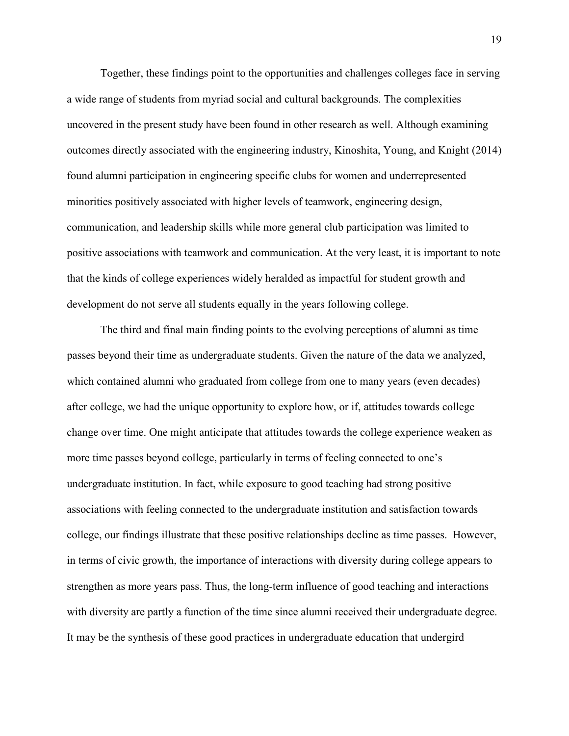Together, these findings point to the opportunities and challenges colleges face in serving a wide range of students from myriad social and cultural backgrounds. The complexities uncovered in the present study have been found in other research as well. Although examining outcomes directly associated with the engineering industry, Kinoshita, Young, and Knight (2014) found alumni participation in engineering specific clubs for women and underrepresented minorities positively associated with higher levels of teamwork, engineering design, communication, and leadership skills while more general club participation was limited to positive associations with teamwork and communication. At the very least, it is important to note that the kinds of college experiences widely heralded as impactful for student growth and development do not serve all students equally in the years following college.

The third and final main finding points to the evolving perceptions of alumni as time passes beyond their time as undergraduate students. Given the nature of the data we analyzed, which contained alumni who graduated from college from one to many years (even decades) after college, we had the unique opportunity to explore how, or if, attitudes towards college change over time. One might anticipate that attitudes towards the college experience weaken as more time passes beyond college, particularly in terms of feeling connected to one's undergraduate institution. In fact, while exposure to good teaching had strong positive associations with feeling connected to the undergraduate institution and satisfaction towards college, our findings illustrate that these positive relationships decline as time passes. However, in terms of civic growth, the importance of interactions with diversity during college appears to strengthen as more years pass. Thus, the long-term influence of good teaching and interactions with diversity are partly a function of the time since alumni received their undergraduate degree. It may be the synthesis of these good practices in undergraduate education that undergird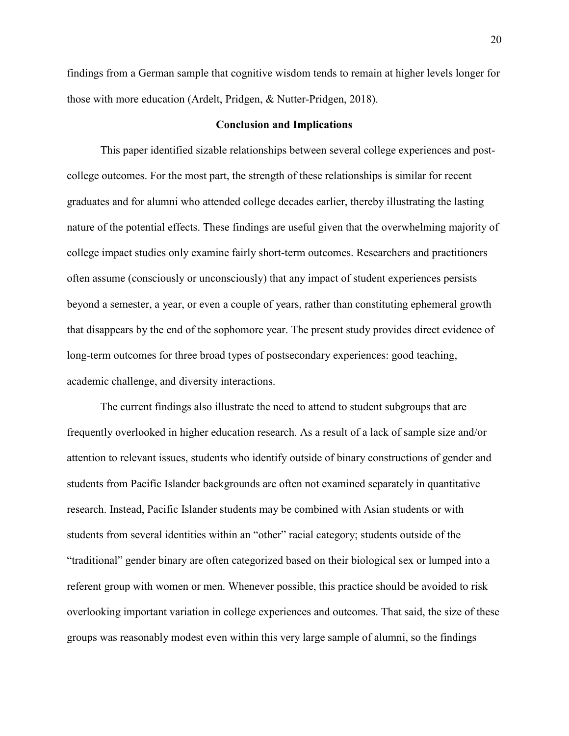findings from a German sample that cognitive wisdom tends to remain at higher levels longer for those with more education (Ardelt, Pridgen, & Nutter-Pridgen, 2018).

## **Conclusion and Implications**

This paper identified sizable relationships between several college experiences and postcollege outcomes. For the most part, the strength of these relationships is similar for recent graduates and for alumni who attended college decades earlier, thereby illustrating the lasting nature of the potential effects. These findings are useful given that the overwhelming majority of college impact studies only examine fairly short-term outcomes. Researchers and practitioners often assume (consciously or unconsciously) that any impact of student experiences persists beyond a semester, a year, or even a couple of years, rather than constituting ephemeral growth that disappears by the end of the sophomore year. The present study provides direct evidence of long-term outcomes for three broad types of postsecondary experiences: good teaching, academic challenge, and diversity interactions.

The current findings also illustrate the need to attend to student subgroups that are frequently overlooked in higher education research. As a result of a lack of sample size and/or attention to relevant issues, students who identify outside of binary constructions of gender and students from Pacific Islander backgrounds are often not examined separately in quantitative research. Instead, Pacific Islander students may be combined with Asian students or with students from several identities within an "other" racial category; students outside of the "traditional" gender binary are often categorized based on their biological sex or lumped into a referent group with women or men. Whenever possible, this practice should be avoided to risk overlooking important variation in college experiences and outcomes. That said, the size of these groups was reasonably modest even within this very large sample of alumni, so the findings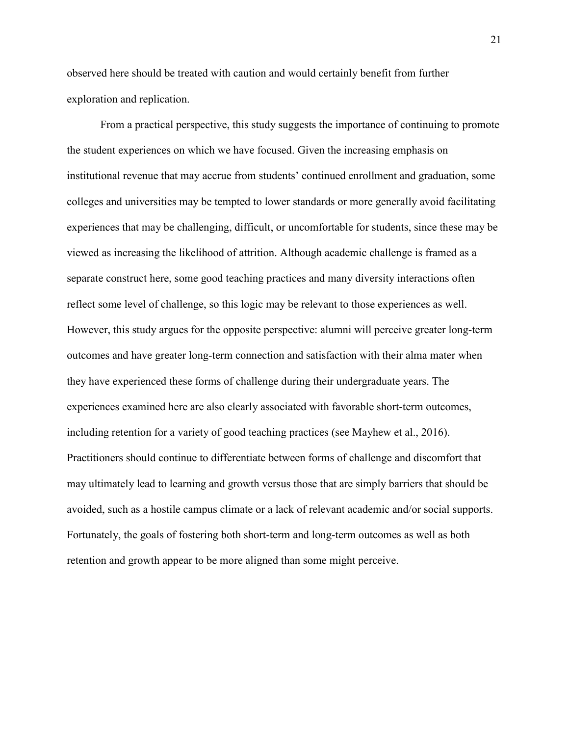observed here should be treated with caution and would certainly benefit from further exploration and replication.

From a practical perspective, this study suggests the importance of continuing to promote the student experiences on which we have focused. Given the increasing emphasis on institutional revenue that may accrue from students' continued enrollment and graduation, some colleges and universities may be tempted to lower standards or more generally avoid facilitating experiences that may be challenging, difficult, or uncomfortable for students, since these may be viewed as increasing the likelihood of attrition. Although academic challenge is framed as a separate construct here, some good teaching practices and many diversity interactions often reflect some level of challenge, so this logic may be relevant to those experiences as well. However, this study argues for the opposite perspective: alumni will perceive greater long-term outcomes and have greater long-term connection and satisfaction with their alma mater when they have experienced these forms of challenge during their undergraduate years. The experiences examined here are also clearly associated with favorable short-term outcomes, including retention for a variety of good teaching practices (see Mayhew et al., 2016). Practitioners should continue to differentiate between forms of challenge and discomfort that may ultimately lead to learning and growth versus those that are simply barriers that should be avoided, such as a hostile campus climate or a lack of relevant academic and/or social supports. Fortunately, the goals of fostering both short-term and long-term outcomes as well as both retention and growth appear to be more aligned than some might perceive.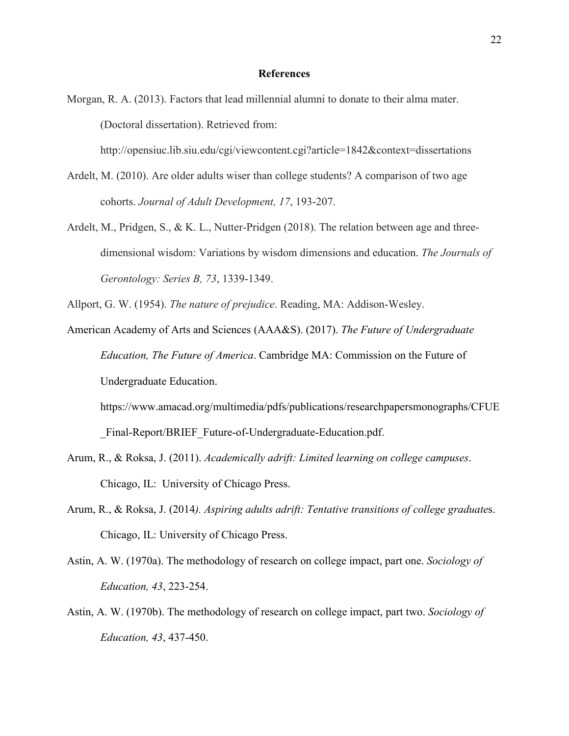## **References**

Morgan, R. A. (2013). Factors that lead millennial alumni to donate to their alma mater. (Doctoral dissertation). Retrieved from:

http://opensiuc.lib.siu.edu/cgi/viewcontent.cgi?article=1842&context=dissertations

- Ardelt, M. (2010). Are older adults wiser than college students? A comparison of two age cohorts. *Journal of Adult Development, 17*, 193-207.
- Ardelt, M., Pridgen, S., & K. L., Nutter-Pridgen (2018). The relation between age and threedimensional wisdom: Variations by wisdom dimensions and education. *The Journals of Gerontology: Series B, 73*, 1339-1349.

Allport, G. W. (1954). *The nature of prejudice*. Reading, MA: Addison-Wesley.

American Academy of Arts and Sciences (AAA&S). (2017). *The Future of Undergraduate Education, The Future of America*. Cambridge MA: Commission on the Future of Undergraduate Education.

[https://www.amacad.org/multimedia/pdfs/publications/researchpapersmonographs/CFUE](https://www.amacad.org/multimedia/pdfs/publications/researchpapersmonographs/CFUE_Final-Report/BRIEF_Future-of-Undergraduate-Education.pdf) [\\_Final-Report/BRIEF\\_Future-of-Undergraduate-Education.pdf.](https://www.amacad.org/multimedia/pdfs/publications/researchpapersmonographs/CFUE_Final-Report/BRIEF_Future-of-Undergraduate-Education.pdf)

- Arum, R., & Roksa, J. (2011). *Academically adrift: Limited learning on college campuses*. Chicago, IL: University of Chicago Press.
- Arum, R., & Roksa, J. (2014*). Aspiring adults adrift: Tentative transitions of college graduate*s. Chicago, IL: University of Chicago Press.
- Astin, A. W. (1970a). The methodology of research on college impact, part one. *Sociology of Education, 43*, 223-254.
- Astin, A. W. (1970b). The methodology of research on college impact, part two. *Sociology of Education, 43*, 437-450.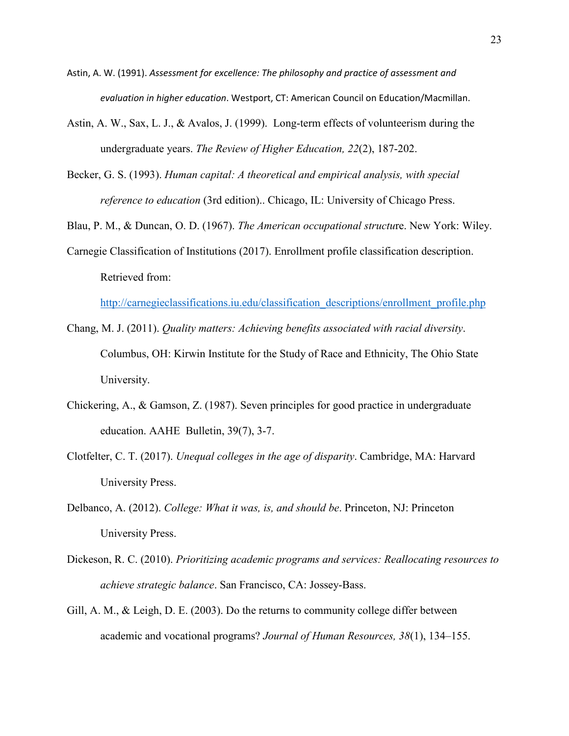- Astin, A. W. (1991). *Assessment for excellence: The philosophy and practice of assessment and evaluation in higher education*. Westport, CT: American Council on Education/Macmillan.
- Astin, A. W., Sax, L. J., & Avalos, J. (1999). Long-term effects of volunteerism during the undergraduate years. *The Review of Higher Education, 22*(2), 187-202.
- Becker, G. S. (1993). *Human capital: A theoretical and empirical analysis, with special reference to education* (3rd edition).. Chicago, IL: University of Chicago Press.
- Blau, P. M., & Duncan, O. D. (1967). *The American occupational structu*re. New York: Wiley.
- Carnegie Classification of Institutions (2017). Enrollment profile classification description. Retrieved from:

[http://carnegieclassifications.iu.edu/classification\\_descriptions/enrollment\\_profile.php](http://carnegieclassifications.iu.edu/classification_descriptions/enrollment_profile.php)

- Chang, M. J. (2011). *Quality matters: Achieving benefits associated with racial diversity*. Columbus, OH: Kirwin Institute for the Study of Race and Ethnicity, The Ohio State University.
- Chickering, A., & Gamson, Z. (1987). Seven principles for good practice in undergraduate education. AAHE Bulletin, 39(7), 3-7.
- Clotfelter, C. T. (2017). *Unequal colleges in the age of disparity*. Cambridge, MA: Harvard University Press.
- Delbanco, A. (2012). *College: What it was, is, and should be*. Princeton, NJ: Princeton University Press.
- Dickeson, R. C. (2010). *Prioritizing academic programs and services: Reallocating resources to achieve strategic balance*. San Francisco, CA: Jossey-Bass.
- Gill, A. M., & Leigh, D. E. (2003). Do the returns to community college differ between academic and vocational programs? *Journal of Human Resources, 38*(1), 134–155.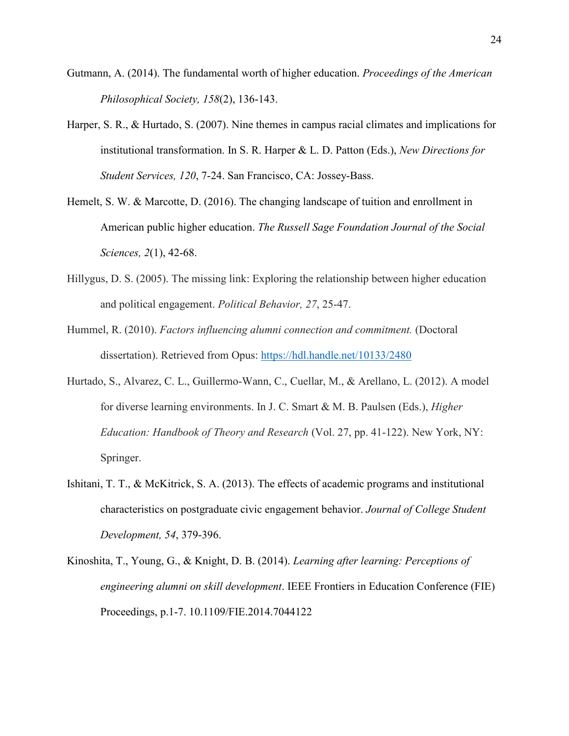- Gutmann, A. (2014). The fundamental worth of higher education. *Proceedings of the American Philosophical Society, 158*(2), 136-143.
- Harper, S. R., & Hurtado, S. (2007). Nine themes in campus racial climates and implications for institutional transformation. In S. R. Harper & L. D. Patton (Eds.), *New Directions for Student Services, 120*, 7-24. San Francisco, CA: Jossey-Bass.
- Hemelt, S. W. & Marcotte, D. (2016). The changing landscape of tuition and enrollment in American public higher education. *The Russell Sage Foundation Journal of the Social Sciences, 2*(1), 42-68.
- Hillygus, D. S. (2005). The missing link: Exploring the relationship between higher education and political engagement. *Political Behavior, 27*, 25-47.
- Hummel, R. (2010). *Factors influencing alumni connection and commitment.* (Doctoral dissertation). Retrieved from Opus: <https://hdl.handle.net/10133/2480>
- Hurtado, S., Alvarez, C. L., Guillermo-Wann, C., Cuellar, M., & Arellano, L. (2012). A model for diverse learning environments. In J. C. Smart & M. B. Paulsen (Eds.), *Higher Education: Handbook of Theory and Research* (Vol. 27, pp. 41-122). New York, NY: Springer.
- Ishitani, T. T., & McKitrick, S. A. (2013). The effects of academic programs and institutional characteristics on postgraduate civic engagement behavior. *Journal of College Student Development, 54*, 379-396.
- Kinoshita, T., Young, G., & Knight, D. B. (2014). *Learning after learning: Perceptions of engineering alumni on skill development*. IEEE Frontiers in Education Conference (FIE) Proceedings, p.1-7. 10.1109/FIE.2014.7044122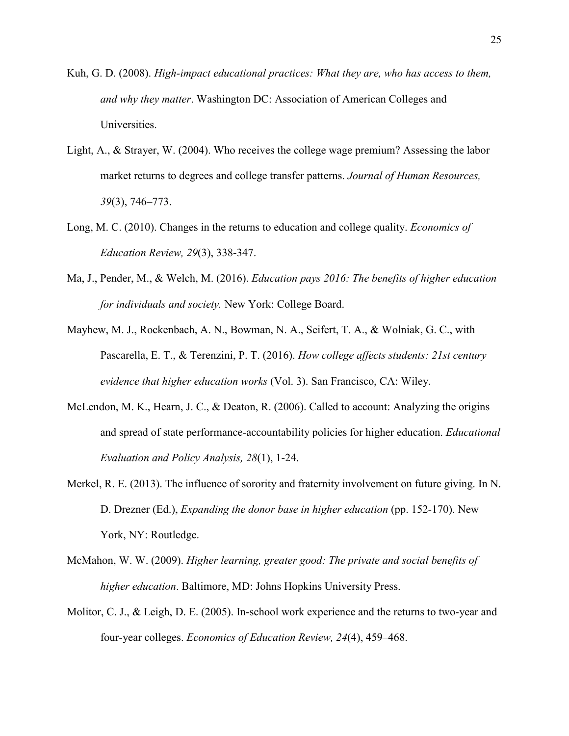- Kuh, G. D. (2008). *High-impact educational practices: What they are, who has access to them, and why they matter*. Washington DC: Association of American Colleges and Universities.
- Light, A., & Strayer, W. (2004). Who receives the college wage premium? Assessing the labor market returns to degrees and college transfer patterns. *Journal of Human Resources, 39*(3), 746–773.
- Long, M. C. (2010). Changes in the returns to education and college quality. *Economics of Education Review, 29*(3), 338-347.
- Ma, J., Pender, M., & Welch, M. (2016). *Education pays 2016: The benefits of higher education for individuals and society.* New York: College Board.
- Mayhew, M. J., Rockenbach, A. N., Bowman, N. A., Seifert, T. A., & Wolniak, G. C., with Pascarella, E. T., & Terenzini, P. T. (2016). *How college affects students: 21st century evidence that higher education works* (Vol. 3). San Francisco, CA: Wiley.
- McLendon, M. K., Hearn, J. C., & Deaton, R. (2006). Called to account: Analyzing the origins and spread of state performance-accountability policies for higher education. *Educational Evaluation and Policy Analysis, 28*(1), 1-24.
- Merkel, R. E. (2013). The influence of sorority and fraternity involvement on future giving. In N. D. Drezner (Ed.), *Expanding the donor base in higher education* (pp. 152-170). New York, NY: Routledge.
- McMahon, W. W. (2009). *Higher learning, greater good: The private and social benefits of higher education*. Baltimore, MD: Johns Hopkins University Press.
- Molitor, C. J., & Leigh, D. E. (2005). In-school work experience and the returns to two-year and four‐year colleges. *Economics of Education Review, 24*(4), 459–468.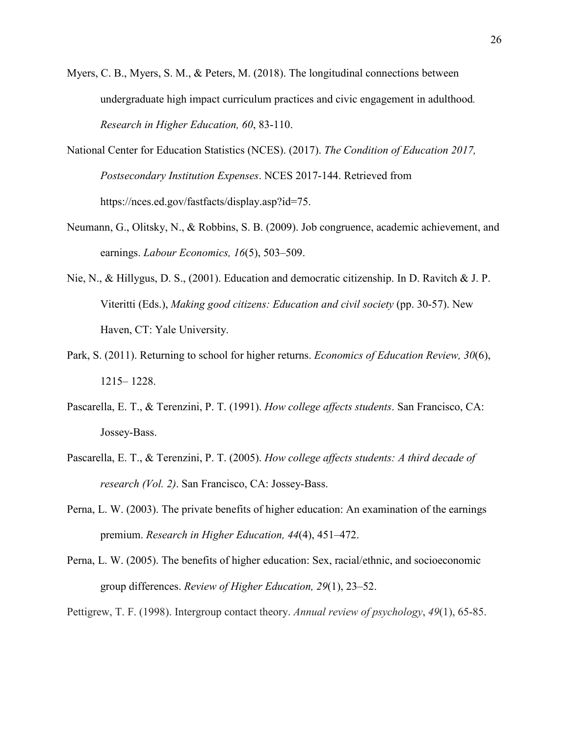- Myers, C. B., Myers, S. M., & Peters, M. (2018). The longitudinal connections between undergraduate high impact curriculum practices and civic engagement in adulthood*. Research in Higher Education, 60*, 83-110.
- National Center for Education Statistics (NCES). (2017). *The Condition of Education 2017, Postsecondary Institution Expenses*. NCES 2017-144. Retrieved from [https://nces.ed.gov/fastfacts/display.asp?id=75.](https://nces.ed.gov/fastfacts/display.asp?id=75)
- Neumann, G., Olitsky, N., & Robbins, S. B. (2009). Job congruence, academic achievement, and earnings. *Labour Economics, 16*(5), 503–509.
- Nie, N., & Hillygus, D. S., (2001). Education and democratic citizenship. In D. Ravitch & J. P. Viteritti (Eds.), *Making good citizens: Education and civil society* (pp. 30-57). New Haven, CT: Yale University.
- Park, S. (2011). Returning to school for higher returns. *Economics of Education Review, 30*(6), 1215– 1228.
- Pascarella, E. T., & Terenzini, P. T. (1991). *How college affects students*. San Francisco, CA: Jossey-Bass.
- Pascarella, E. T., & Terenzini, P. T. (2005). *How college affects students: A third decade of research (Vol. 2)*. San Francisco, CA: Jossey-Bass.
- Perna, L. W. (2003). The private benefits of higher education: An examination of the earnings premium. *Research in Higher Education, 44*(4), 451–472.
- Perna, L. W. (2005). The benefits of higher education: Sex, racial/ethnic, and socioeconomic group differences. *Review of Higher Education, 29*(1), 23–52.
- Pettigrew, T. F. (1998). Intergroup contact theory. *Annual review of psychology*, *49*(1), 65-85.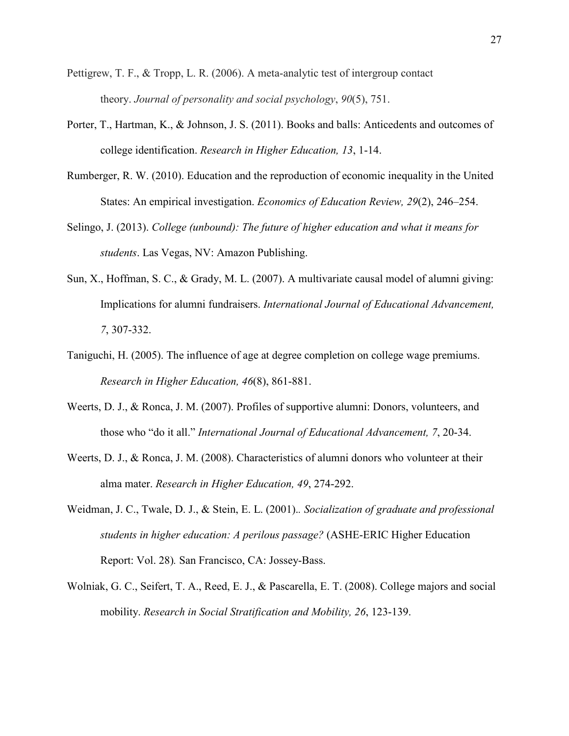- Pettigrew, T. F., & Tropp, L. R. (2006). A meta-analytic test of intergroup contact theory. *Journal of personality and social psychology*, *90*(5), 751.
- Porter, T., Hartman, K., & Johnson, J. S. (2011). Books and balls: Anticedents and outcomes of college identification. *Research in Higher Education, 13*, 1-14.
- Rumberger, R. W. (2010). Education and the reproduction of economic inequality in the United States: An empirical investigation. *Economics of Education Review, 29*(2), 246–254.
- Selingo, J. (2013). *College (unbound): The future of higher education and what it means for students*. Las Vegas, NV: Amazon Publishing.
- Sun, X., Hoffman, S. C., & Grady, M. L. (2007). A multivariate causal model of alumni giving: Implications for alumni fundraisers. *International Journal of Educational Advancement, 7*, 307-332.
- Taniguchi, H. (2005). The influence of age at degree completion on college wage premiums. *Research in Higher Education, 46*(8), 861-881.
- Weerts, D. J., & Ronca, J. M. (2007). Profiles of supportive alumni: Donors, volunteers, and those who "do it all." *International Journal of Educational Advancement, 7*, 20-34.
- Weerts, D. J., & Ronca, J. M. (2008). Characteristics of alumni donors who volunteer at their alma mater. *Research in Higher Education, 49*, 274-292.
- Weidman, J. C., Twale, D. J., & Stein, E. L. (2001).*. Socialization of graduate and professional students in higher education: A perilous passage?* (ASHE-ERIC Higher Education Report: Vol. 28)*.* San Francisco, CA: Jossey-Bass.
- Wolniak, G. C., Seifert, T. A., Reed, E. J., & Pascarella, E. T. (2008). College majors and social mobility. *Research in Social Stratification and Mobility, 26*, 123-139.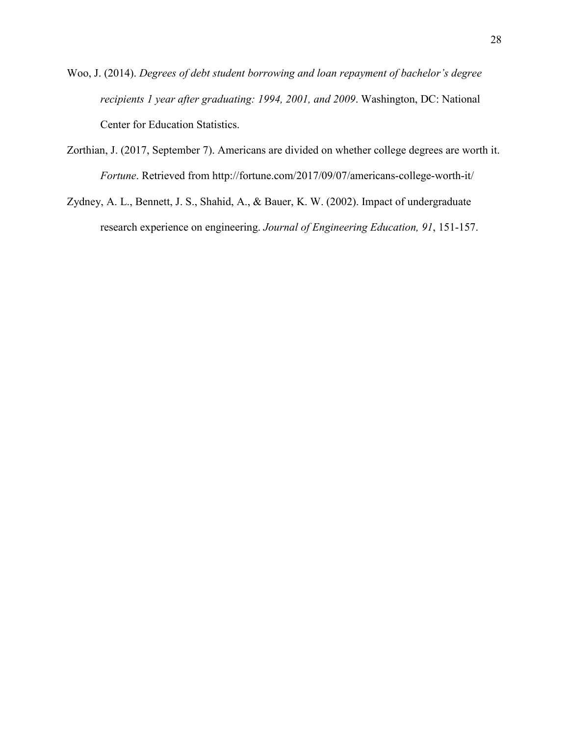- Woo, J. (2014). *Degrees of debt student borrowing and loan repayment of bachelor's degree recipients 1 year after graduating: 1994, 2001, and 2009*. Washington, DC: National Center for Education Statistics.
- Zorthian, J. (2017, September 7). Americans are divided on whether college degrees are worth it. *Fortune*. Retrieved from<http://fortune.com/2017/09/07/americans-college-worth-it/>
- Zydney, A. L., Bennett, J. S., Shahid, A., & Bauer, K. W. (2002). Impact of undergraduate research experience on engineering. *Journal of Engineering Education, 91*, 151-157.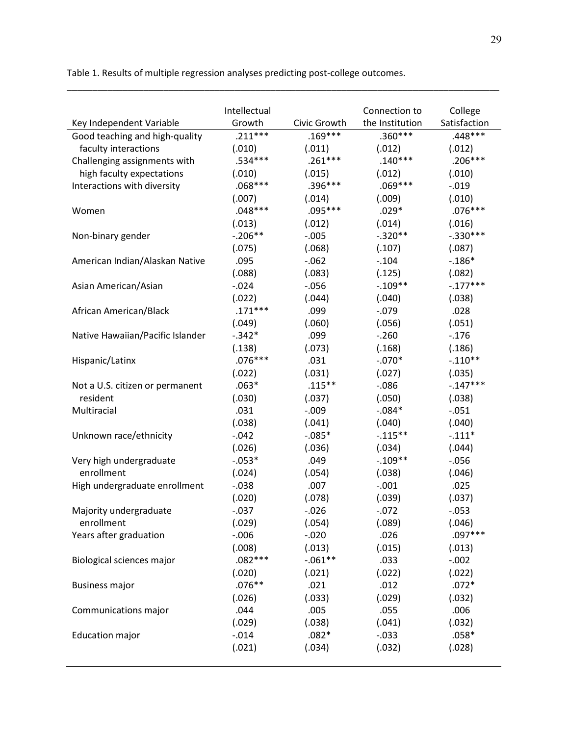Table 1. Results of multiple regression analyses predicting post-college outcomes.

|                                  | Intellectual |              | Connection to   | College      |
|----------------------------------|--------------|--------------|-----------------|--------------|
| Key Independent Variable         | Growth       | Civic Growth | the Institution | Satisfaction |
| Good teaching and high-quality   | $.211***$    | $.169***$    | .360***         | .448***      |
| faculty interactions             | (.010)       | (.011)       | (.012)          | (.012)       |
| Challenging assignments with     | .534 ***     | $.261***$    | $.140***$       | $.206***$    |
| high faculty expectations        | (.010)       | (.015)       | (.012)          | (.010)       |
| Interactions with diversity      | $.068***$    | $.396***$    | .069 ***        | $-0.019$     |
|                                  | (.007)       | (.014)       | (.009)          | (.010)       |
| Women                            | $.048***$    | .095 ***     | $.029*$         | $.076***$    |
|                                  | (.013)       | (.012)       | (.014)          | (.016)       |
| Non-binary gender                | $-.206**$    | $-.005$      | $-.320**$       | $-.330***$   |
|                                  | (.075)       | (.068)       | (.107)          | (.087)       |
| American Indian/Alaskan Native   | .095         | $-0.062$     | $-.104$         | $-186*$      |
|                                  | (.088)       | (.083)       | (.125)          | (.082)       |
| Asian American/Asian             | $-0.024$     | $-0.056$     | $-.109**$       | $-.177***$   |
|                                  | (.022)       | (.044)       | (.040)          | (.038)       |
| African American/Black           | $.171***$    | .099         | $-.079$         | .028         |
|                                  | (.049)       | (.060)       | (.056)          | (.051)       |
| Native Hawaiian/Pacific Islander | $-.342*$     | .099         | $-.260$         | $-.176$      |
|                                  | (.138)       | (.073)       | (.168)          | (.186)       |
| Hispanic/Latinx                  | $.076***$    | .031         | $-.070*$        | $-.110**$    |
|                                  | (.022)       | (.031)       | (.027)          | (.035)       |
| Not a U.S. citizen or permanent  | $.063*$      | $.115***$    | $-0.086$        | $-.147***$   |
| resident                         | (.030)       | (.037)       | (.050)          | (.038)       |
| Multiracial                      | .031         | $-0.009$     | $-.084*$        | $-.051$      |
|                                  | (.038)       | (.041)       | (.040)          | (.040)       |
| Unknown race/ethnicity           | $-0.042$     | $-0.085*$    | $-0.115**$      | $-111*$      |
|                                  | (.026)       | (.036)       | (.034)          | (.044)       |
| Very high undergraduate          | $-0.053*$    | .049         | $-.109**$       | $-0.056$     |
| enrollment                       | (.024)       | (.054)       | (.038)          | (.046)       |
| High undergraduate enrollment    | $-0.038$     | .007         | $-.001$         | .025         |
|                                  | (.020)       | (.078)       | (.039)          | (.037)       |
| Majority undergraduate           | $-.037$      | $-.026$      | $-.072$         | $-.053$      |
| enrollment                       | (.029)       | (.054)       | (.089)          | (.046)       |
| Years after graduation           | $-0.006$     | $-.020$      | .026            | $.097***$    |
|                                  | (.008)       | (.013)       | (.015)          | (.013)       |
| Biological sciences major        | $.082***$    | $-.061**$    | .033            | $-0.002$     |
|                                  | (.020)       | (.021)       | (.022)          | (.022)       |
| <b>Business major</b>            | $.076**$     | .021         | .012            | $.072*$      |
|                                  | (.026)       | (.033)       | (.029)          | (.032)       |
| Communications major             | .044         | .005         | .055            | .006         |
|                                  | (.029)       | (.038)       | (.041)          | (.032)       |
| <b>Education major</b>           | $-0.014$     | $.082*$      | $-0.033$        | $.058*$      |
|                                  | (.021)       | (.034)       | (.032)          | (.028)       |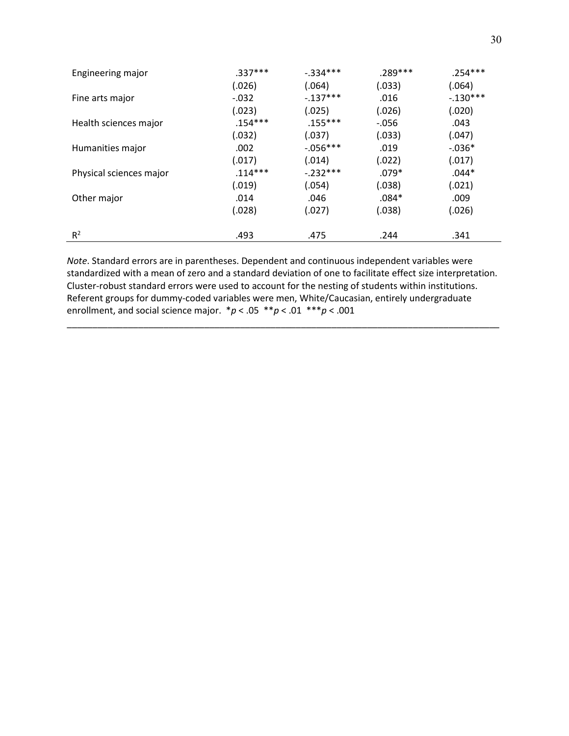| Engineering major       | $.337***$ | $-.334***$ | .289***  | $.254***$  |
|-------------------------|-----------|------------|----------|------------|
|                         | (.026)    | (.064)     | (.033)   | (.064)     |
| Fine arts major         | $-.032$   | $-137***$  | .016     | $-.130***$ |
|                         | (.023)    | (.025)     | (.026)   | (.020)     |
| Health sciences major   | $.154***$ | $.155***$  | $-0.056$ | .043       |
|                         | (.032)    | (.037)     | (.033)   | (.047)     |
| Humanities major        | .002      | $-.056***$ | .019     | $-0.036*$  |
|                         | (.017)    | (.014)     | (.022)   | (.017)     |
| Physical sciences major | $.114***$ | $-.232***$ | $.079*$  | $.044*$    |
|                         | (.019)    | (.054)     | (.038)   | (.021)     |
| Other major             | .014      | .046       | $.084*$  | .009       |
|                         | (.028)    | (.027)     | (.038)   | (.026)     |
| R <sup>2</sup>          | .493      | .475       | .244     | .341       |
|                         |           |            |          |            |

*Note*. Standard errors are in parentheses. Dependent and continuous independent variables were standardized with a mean of zero and a standard deviation of one to facilitate effect size interpretation. Cluster-robust standard errors were used to account for the nesting of students within institutions. Referent groups for dummy-coded variables were men, White/Caucasian, entirely undergraduate enrollment, and social science major. \**p* < .05 \*\**p* < .01 \*\*\**p* < .001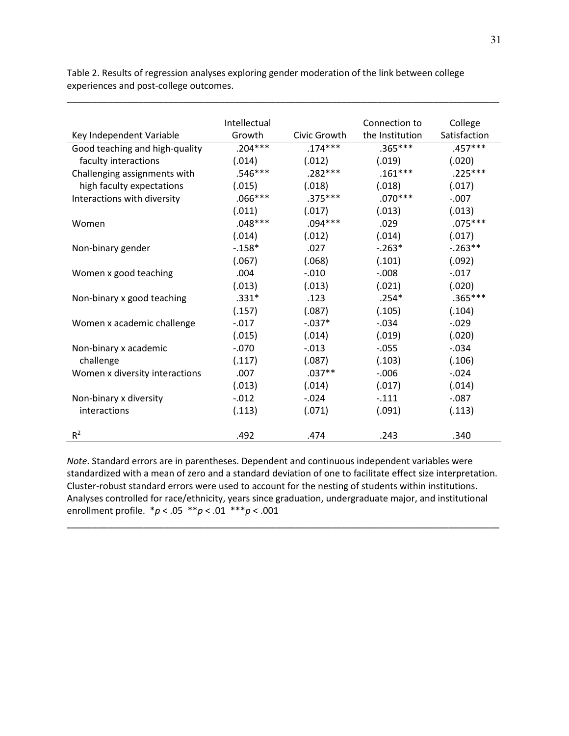|                                | Intellectual |              | Connection to   | College      |
|--------------------------------|--------------|--------------|-----------------|--------------|
| Key Independent Variable       | Growth       | Civic Growth | the Institution | Satisfaction |
| Good teaching and high-quality | $.204***$    | $.174***$    | $.365***$       | $.457***$    |
| faculty interactions           | (.014)       | (.012)       | (.019)          | (.020)       |
| Challenging assignments with   | .546 ***     | $.282***$    | $.161***$       | $.225***$    |
| high faculty expectations      | (.015)       | (.018)       | (.018)          | (.017)       |
| Interactions with diversity    | $.066***$    | $.375***$    | $.070***$       | $-.007$      |
|                                | (.011)       | (.017)       | (.013)          | (.013)       |
| Women                          | $.048***$    | $.094***$    | .029            | $.075***$    |
|                                | (.014)       | (.012)       | (.014)          | (.017)       |
| Non-binary gender              | $-0.158*$    | .027         | $-.263*$        | $-.263**$    |
|                                | (.067)       | (.068)       | (.101)          | (.092)       |
| Women x good teaching          | .004         | $-.010$      | $-.008$         | $-.017$      |
|                                | (.013)       | (.013)       | (.021)          | (.020)       |
| Non-binary x good teaching     | $.331*$      | .123         | $.254*$         | $.365***$    |
|                                | (.157)       | (.087)       | (.105)          | (.104)       |
| Women x academic challenge     | $-.017$      | $-.037*$     | $-.034$         | $-0.029$     |
|                                | (.015)       | (.014)       | (.019)          | (.020)       |
| Non-binary x academic          | $-0.070$     | $-0.013$     | $-0.055$        | $-.034$      |
| challenge                      | (.117)       | (.087)       | (.103)          | (.106)       |
| Women x diversity interactions | .007         | $.037**$     | $-0.006$        | $-.024$      |
|                                | (.013)       | (.014)       | (.017)          | (.014)       |
| Non-binary x diversity         | $-0.012$     | $-.024$      | $-111$          | $-.087$      |
| interactions                   | (.113)       | (.071)       | (.091)          | (.113)       |
|                                |              |              |                 |              |
| R <sup>2</sup>                 | .492         | .474         | .243            | .340         |

Table 2. Results of regression analyses exploring gender moderation of the link between college experiences and post-college outcomes.

\_\_\_\_\_\_\_\_\_\_\_\_\_\_\_\_\_\_\_\_\_\_\_\_\_\_\_\_\_\_\_\_\_\_\_\_\_\_\_\_\_\_\_\_\_\_\_\_\_\_\_\_\_\_\_\_\_\_\_\_\_\_\_\_\_\_\_\_\_\_\_\_\_\_\_\_\_\_\_\_\_\_\_\_\_

*Note*. Standard errors are in parentheses. Dependent and continuous independent variables were standardized with a mean of zero and a standard deviation of one to facilitate effect size interpretation. Cluster-robust standard errors were used to account for the nesting of students within institutions. Analyses controlled for race/ethnicity, years since graduation, undergraduate major, and institutional enrollment profile. \**p* < .05 \*\**p* < .01 \*\*\**p* < .001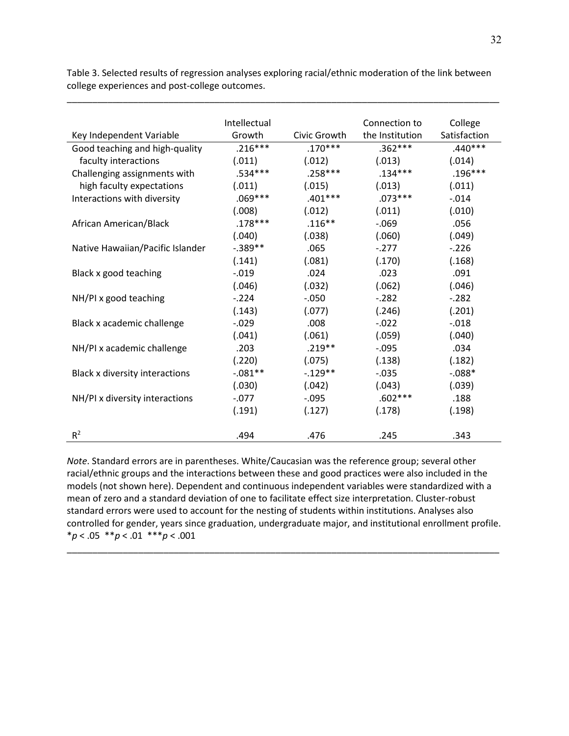|                                  | Intellectual |              | Connection to   | College      |
|----------------------------------|--------------|--------------|-----------------|--------------|
| Key Independent Variable         | Growth       | Civic Growth | the Institution | Satisfaction |
| Good teaching and high-quality   | $.216***$    | $.170***$    | $.362***$       | $.440***$    |
| faculty interactions             | (.011)       | (.012)       | (.013)          | (.014)       |
| Challenging assignments with     | $.534***$    | $.258***$    | $.134***$       | $.196***$    |
| high faculty expectations        | (.011)       | (.015)       | (.013)          | (.011)       |
| Interactions with diversity      | $.069***$    | $.401***$    | $.073***$       | $-0.014$     |
|                                  | (.008)       | (.012)       | (.011)          | (.010)       |
| African American/Black           | $.178***$    | $.116***$    | $-0.069$        | .056         |
|                                  | (.040)       | (.038)       | (.060)          | (.049)       |
| Native Hawaiian/Pacific Islander | $-.389**$    | .065         | $-.277$         | $-.226$      |
|                                  | (.141)       | (.081)       | (.170)          | (.168)       |
| Black x good teaching            | $-.019$      | .024         | .023            | .091         |
|                                  | (.046)       | (.032)       | (.062)          | (.046)       |
| NH/PI x good teaching            | $-.224$      | $-.050$      | $-.282$         | $-282$       |
|                                  | (.143)       | (.077)       | (.246)          | (.201)       |
| Black x academic challenge       | $-0.029$     | .008         | $-.022$         | $-0.018$     |
|                                  | (.041)       | (.061)       | (.059)          | (.040)       |
| NH/PI x academic challenge       | .203         | $.219**$     | $-.095$         | .034         |
|                                  | (.220)       | (.075)       | (.138)          | (.182)       |
| Black x diversity interactions   | $-.081**$    | $-.129**$    | $-0.035$        | $-0.088*$    |
|                                  | (.030)       | (.042)       | (.043)          | (.039)       |
| NH/PI x diversity interactions   | $-0.077$     | $-.095$      | $.602***$       | .188         |
|                                  | (.191)       | (.127)       | (.178)          | (.198)       |
|                                  |              |              |                 |              |
| R <sup>2</sup>                   | .494         | .476         | .245            | .343         |

Table 3. Selected results of regression analyses exploring racial/ethnic moderation of the link between college experiences and post-college outcomes.

\_\_\_\_\_\_\_\_\_\_\_\_\_\_\_\_\_\_\_\_\_\_\_\_\_\_\_\_\_\_\_\_\_\_\_\_\_\_\_\_\_\_\_\_\_\_\_\_\_\_\_\_\_\_\_\_\_\_\_\_\_\_\_\_\_\_\_\_\_\_\_\_\_\_\_\_\_\_\_\_\_\_\_\_\_

*Note*. Standard errors are in parentheses. White/Caucasian was the reference group; several other racial/ethnic groups and the interactions between these and good practices were also included in the models (not shown here). Dependent and continuous independent variables were standardized with a mean of zero and a standard deviation of one to facilitate effect size interpretation. Cluster-robust standard errors were used to account for the nesting of students within institutions. Analyses also controlled for gender, years since graduation, undergraduate major, and institutional enrollment profile. \**p* < .05 \*\**p* < .01 \*\*\**p* < .001